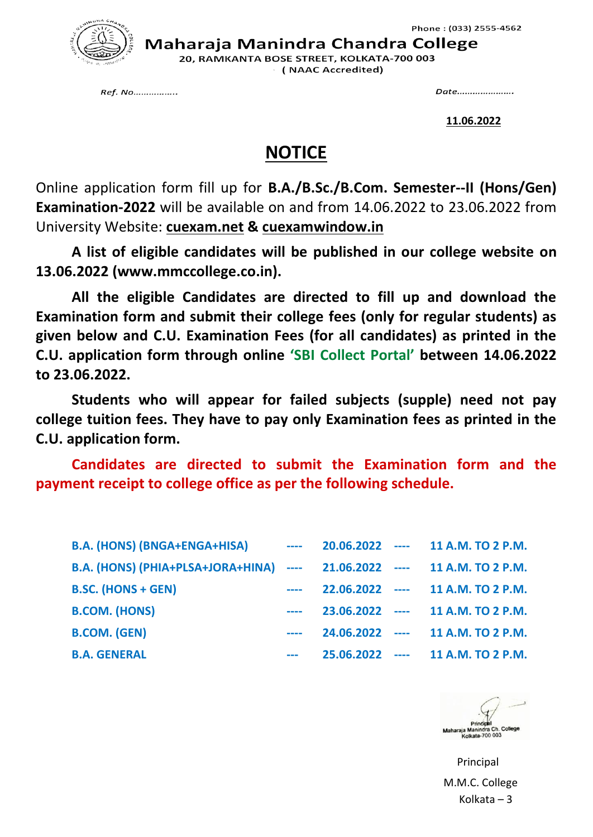

Maharaja Manindra Chandra College

20, RAMKANTA BOSE STREET, KOLKATA-700 003 (NAAC Accredited)

Ref. No.................

Date......................

**11.06.2022**

## **NOTICE**

Online application form fill up for **B.A./B.Sc./B.Com. Semester--II (Hons/Gen) Examination-2022** will be available on and from 14.06.2022 to 23.06.2022 from University Website: **cuexam.net & cuexamwindow.in**

**A list of eligible candidates will be published in our college website on 13.06.2022 (www.mmccollege.co.in).**

**All the eligible Candidates are directed to fill up and download the Examination form and submit their college fees (only for regular students) as given below and C.U. Examination Fees (for all candidates) as printed in the C.U. application form through online 'SBI Collect Portal' between 14.06.2022 to 23.06.2022.**

**Students who will appear for failed subjects (supple) need not pay college tuition fees. They have to pay only Examination fees as printed in the C.U. application form.**

**Candidates are directed to submit the Examination form and the payment receipt to college office as per the following schedule.**

| <b>B.A. (HONS) (BNGA+ENGA+HISA)</b>                                      | $\frac{1}{2} \left( \frac{1}{2} \right) \left( \frac{1}{2} \right) \left( \frac{1}{2} \right) \left( \frac{1}{2} \right) \left( \frac{1}{2} \right) \left( \frac{1}{2} \right) \left( \frac{1}{2} \right) \left( \frac{1}{2} \right) \left( \frac{1}{2} \right) \left( \frac{1}{2} \right) \left( \frac{1}{2} \right) \left( \frac{1}{2} \right) \left( \frac{1}{2} \right) \left( \frac{1}{2} \right) \left( \frac{1}{2} \right) \left( \frac{1}{2} \right) \left( \frac$ |  | 20.06.2022 ---- 11 A.M. TO 2 P.M. |
|--------------------------------------------------------------------------|----------------------------------------------------------------------------------------------------------------------------------------------------------------------------------------------------------------------------------------------------------------------------------------------------------------------------------------------------------------------------------------------------------------------------------------------------------------------------|--|-----------------------------------|
| B.A. (HONS) (PHIA+PLSA+JORA+HINA) ---- 21.06.2022 ---- 11 A.M. TO 2 P.M. |                                                                                                                                                                                                                                                                                                                                                                                                                                                                            |  |                                   |
| <b>B.SC. (HONS + GEN)</b>                                                |                                                                                                                                                                                                                                                                                                                                                                                                                                                                            |  | 22.06.2022 ---- 11 A.M. TO 2 P.M. |
| <b>B.COM. (HONS)</b>                                                     |                                                                                                                                                                                                                                                                                                                                                                                                                                                                            |  | 23.06.2022 ---- 11 A.M. TO 2 P.M. |
| <b>B.COM. (GEN)</b>                                                      |                                                                                                                                                                                                                                                                                                                                                                                                                                                                            |  | 24.06.2022 ---- 11 A.M. TO 2 P.M. |
| <b>B.A. GENERAL</b>                                                      |                                                                                                                                                                                                                                                                                                                                                                                                                                                                            |  | 25.06.2022 ---- 11 A.M. TO 2 P.M. |



 Principal M.M.C. College Kolkata – 3